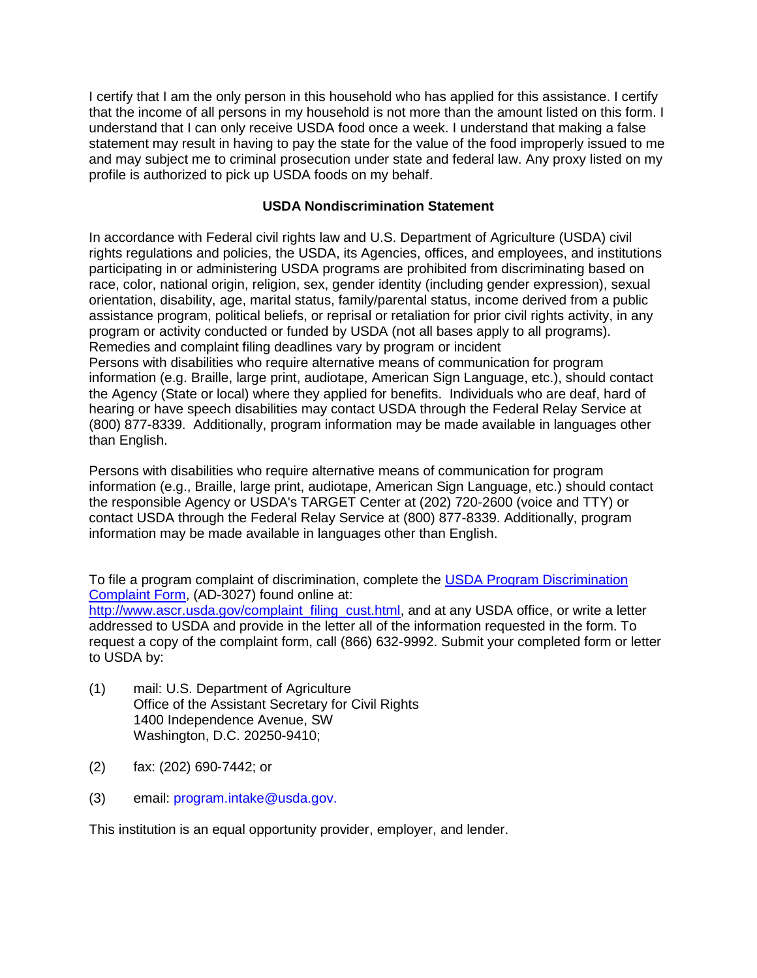I certify that I am the only person in this household who has applied for this assistance. I certify that the income of all persons in my household is not more than the amount listed on this form. I understand that I can only receive USDA food once a week. I understand that making a false statement may result in having to pay the state for the value of the food improperly issued to me and may subject me to criminal prosecution under state and federal law. Any proxy listed on my profile is authorized to pick up USDA foods on my behalf.

## **USDA Nondiscrimination Statement**

In accordance with Federal civil rights law and U.S. Department of Agriculture (USDA) civil rights regulations and policies, the USDA, its Agencies, offices, and employees, and institutions participating in or administering USDA programs are prohibited from discriminating based on race, color, national origin, religion, sex, gender identity (including gender expression), sexual orientation, disability, age, marital status, family/parental status, income derived from a public assistance program, political beliefs, or reprisal or retaliation for prior civil rights activity, in any program or activity conducted or funded by USDA (not all bases apply to all programs). Remedies and complaint filing deadlines vary by program or incident Persons with disabilities who require alternative means of communication for program information (e.g. Braille, large print, audiotape, American Sign Language, etc.), should contact the Agency (State or local) where they applied for benefits. Individuals who are deaf, hard of hearing or have speech disabilities may contact USDA through the Federal Relay Service at (800) 877-8339. Additionally, program information may be made available in languages other than English.

Persons with disabilities who require alternative means of communication for program information (e.g., Braille, large print, audiotape, American Sign Language, etc.) should contact the responsible Agency or USDA's TARGET Center at (202) 720-2600 (voice and TTY) or contact USDA through the Federal Relay Service at (800) 877-8339. Additionally, program information may be made available in languages other than English.

To file a program complaint of discrimination, complete the [USDA Program Discrimination](http://www.ocio.usda.gov/sites/default/files/docs/2012/Complain_combined_6_8_12.pdf)  [Complaint Form,](http://www.ocio.usda.gov/sites/default/files/docs/2012/Complain_combined_6_8_12.pdf) (AD-3027) found online at:

[http://www.ascr.usda.gov/complaint\\_filing\\_cust.html,](http://www.ascr.usda.gov/complaint_filing_cust.html) and at any USDA office, or write a letter addressed to USDA and provide in the letter all of the information requested in the form. To request a copy of the complaint form, call (866) 632-9992. Submit your completed form or letter to USDA by:

- (1) mail: U.S. Department of Agriculture Office of the Assistant Secretary for Civil Rights 1400 Independence Avenue, SW Washington, D.C. 20250-9410;
- (2) fax: (202) 690-7442; or
- (3) email: program.intake@usda.gov.

This institution is an equal opportunity provider, employer, and lender.